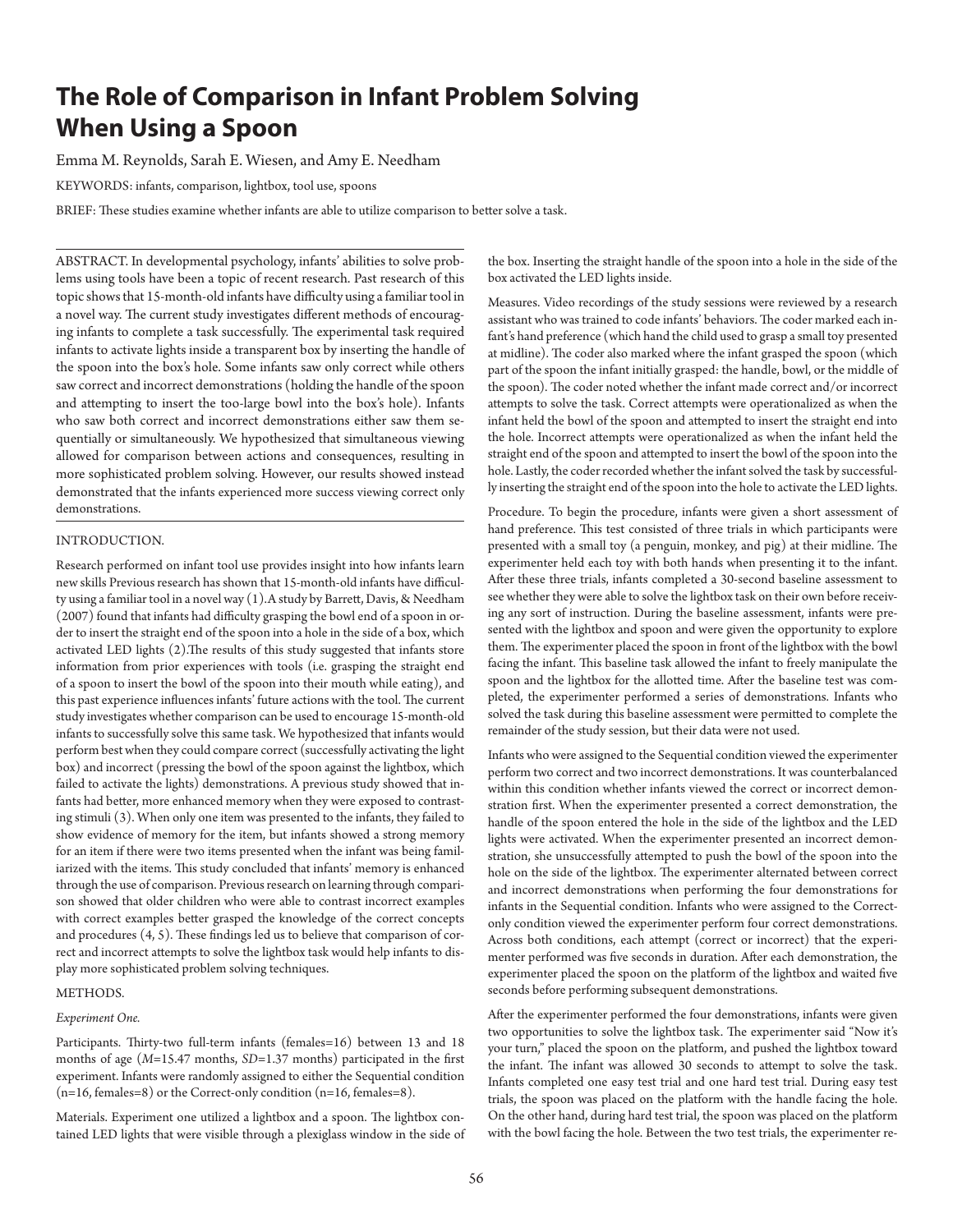# **The Role of Comparison in Infant Problem Solving When Using a Spoon**

Emma M. Reynolds, Sarah E. Wiesen, and Amy E. Needham

KEYWORDS: infants, comparison, lightbox, tool use, spoons

BRIEF: These studies examine whether infants are able to utilize comparison to better solve a task.

ABSTRACT. In developmental psychology, infants' abilities to solve problems using tools have been a topic of recent research. Past research of this topic shows that 15-month-old infants have difficulty using a familiar tool in a novel way. The current study investigates different methods of encouraging infants to complete a task successfully. The experimental task required infants to activate lights inside a transparent box by inserting the handle of the spoon into the box's hole. Some infants saw only correct while others saw correct and incorrect demonstrations (holding the handle of the spoon and attempting to insert the too-large bowl into the box's hole). Infants who saw both correct and incorrect demonstrations either saw them sequentially or simultaneously. We hypothesized that simultaneous viewing allowed for comparison between actions and consequences, resulting in more sophisticated problem solving. However, our results showed instead demonstrated that the infants experienced more success viewing correct only demonstrations.

# INTRODUCTION.

Research performed on infant tool use provides insight into how infants learn new skills Previous research has shown that 15-month-old infants have difficulty using a familiar tool in a novel way (1).A study by Barrett, Davis, & Needham (2007) found that infants had difficulty grasping the bowl end of a spoon in order to insert the straight end of the spoon into a hole in the side of a box, which activated LED lights (2).The results of this study suggested that infants store information from prior experiences with tools (i.e. grasping the straight end of a spoon to insert the bowl of the spoon into their mouth while eating), and this past experience influences infants' future actions with the tool. The current study investigates whether comparison can be used to encourage 15-month-old infants to successfully solve this same task. We hypothesized that infants would perform best when they could compare correct (successfully activating the light box) and incorrect (pressing the bowl of the spoon against the lightbox, which failed to activate the lights) demonstrations. A previous study showed that infants had better, more enhanced memory when they were exposed to contrasting stimuli (3). When only one item was presented to the infants, they failed to show evidence of memory for the item, but infants showed a strong memory for an item if there were two items presented when the infant was being familiarized with the items. This study concluded that infants' memory is enhanced through the use of comparison. Previous research on learning through comparison showed that older children who were able to contrast incorrect examples with correct examples better grasped the knowledge of the correct concepts and procedures (4, 5). These findings led us to believe that comparison of correct and incorrect attempts to solve the lightbox task would help infants to display more sophisticated problem solving techniques.

# METHODS.

# *Experiment One.*

Participants. Thirty-two full-term infants (females=16) between 13 and 18 months of age (*M*=15.47 months, *SD*=1.37 months) participated in the first experiment. Infants were randomly assigned to either the Sequential condition  $(n=16, females=8)$  or the Correct-only condition  $(n=16, females=8)$ .

Materials. Experiment one utilized a lightbox and a spoon. The lightbox contained LED lights that were visible through a plexiglass window in the side of

the box. Inserting the straight handle of the spoon into a hole in the side of the box activated the LED lights inside.

Measures. Video recordings of the study sessions were reviewed by a research assistant who was trained to code infants' behaviors. The coder marked each infant's hand preference (which hand the child used to grasp a small toy presented at midline). The coder also marked where the infant grasped the spoon (which part of the spoon the infant initially grasped: the handle, bowl, or the middle of the spoon). The coder noted whether the infant made correct and/or incorrect attempts to solve the task. Correct attempts were operationalized as when the infant held the bowl of the spoon and attempted to insert the straight end into the hole. Incorrect attempts were operationalized as when the infant held the straight end of the spoon and attempted to insert the bowl of the spoon into the hole. Lastly, the coder recorded whether the infant solved the task by successfully inserting the straight end of the spoon into the hole to activate the LED lights.

Procedure. To begin the procedure, infants were given a short assessment of hand preference. This test consisted of three trials in which participants were presented with a small toy (a penguin, monkey, and pig) at their midline. The experimenter held each toy with both hands when presenting it to the infant. After these three trials, infants completed a 30-second baseline assessment to see whether they were able to solve the lightbox task on their own before receiving any sort of instruction. During the baseline assessment, infants were presented with the lightbox and spoon and were given the opportunity to explore them. The experimenter placed the spoon in front of the lightbox with the bowl facing the infant. This baseline task allowed the infant to freely manipulate the spoon and the lightbox for the allotted time. After the baseline test was completed, the experimenter performed a series of demonstrations. Infants who solved the task during this baseline assessment were permitted to complete the remainder of the study session, but their data were not used.

Infants who were assigned to the Sequential condition viewed the experimenter perform two correct and two incorrect demonstrations. It was counterbalanced within this condition whether infants viewed the correct or incorrect demonstration first. When the experimenter presented a correct demonstration, the handle of the spoon entered the hole in the side of the lightbox and the LED lights were activated. When the experimenter presented an incorrect demonstration, she unsuccessfully attempted to push the bowl of the spoon into the hole on the side of the lightbox. The experimenter alternated between correct and incorrect demonstrations when performing the four demonstrations for infants in the Sequential condition. Infants who were assigned to the Correctonly condition viewed the experimenter perform four correct demonstrations. Across both conditions, each attempt (correct or incorrect) that the experimenter performed was five seconds in duration. After each demonstration, the experimenter placed the spoon on the platform of the lightbox and waited five seconds before performing subsequent demonstrations.

After the experimenter performed the four demonstrations, infants were given two opportunities to solve the lightbox task. The experimenter said "Now it's your turn," placed the spoon on the platform, and pushed the lightbox toward the infant. The infant was allowed 30 seconds to attempt to solve the task. Infants completed one easy test trial and one hard test trial. During easy test trials, the spoon was placed on the platform with the handle facing the hole. On the other hand, during hard test trial, the spoon was placed on the platform with the bowl facing the hole. Between the two test trials, the experimenter re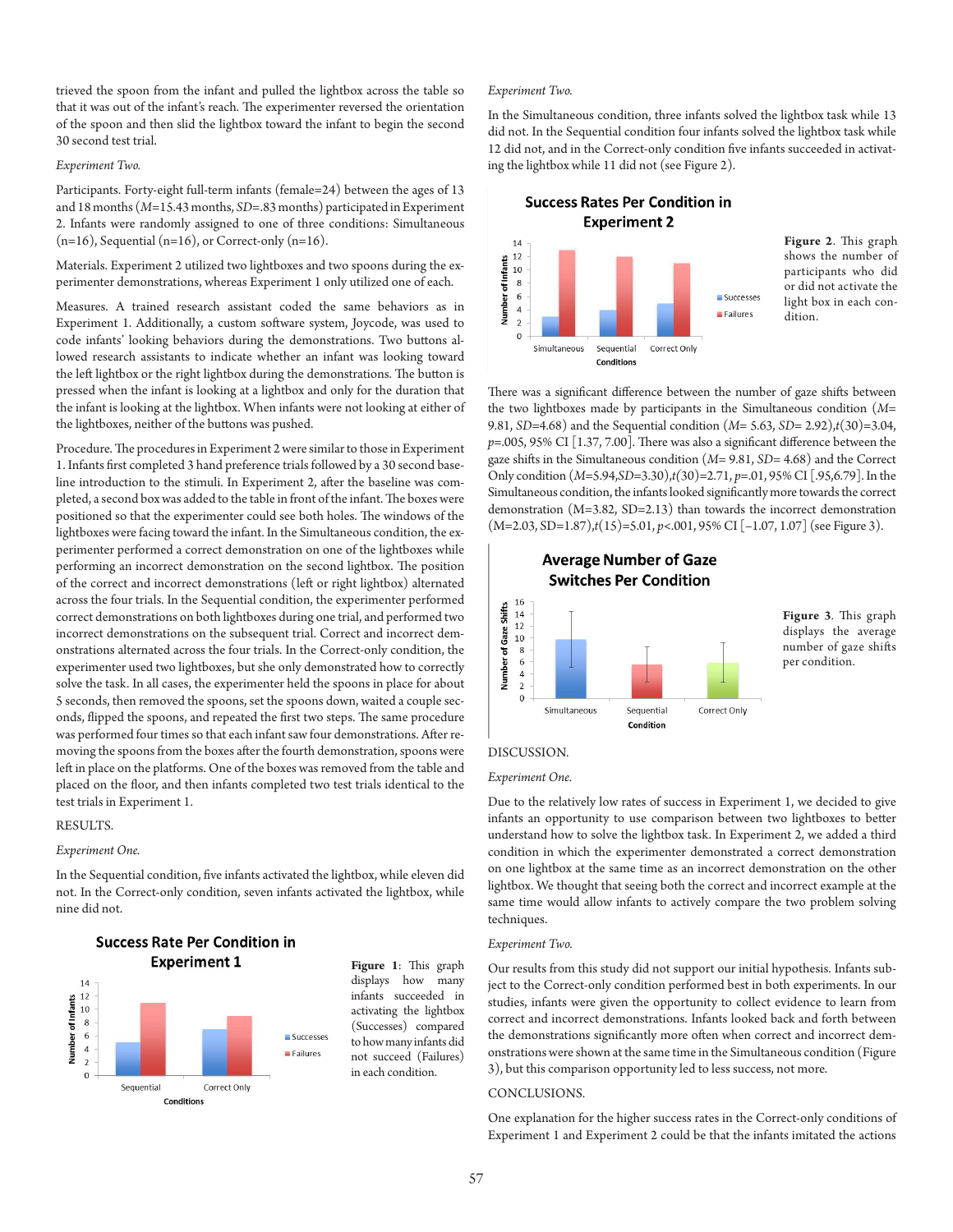trieved the spoon from the infant and pulled the lightbox across the table so that it was out of the infant's reach. The experimenter reversed the orientation of the spoon and then slid the lightbox toward the infant to begin the second 30 second test trial.

## *Experiment Two.*

Participants. Forty-eight full-term infants (female=24) between the ages of 13 and 18 months (*M*=15.43 months, *SD*=.83 months) participated in Experiment 2. Infants were randomly assigned to one of three conditions: Simultaneous  $(n=16)$ , Sequential  $(n=16)$ , or Correct-only  $(n=16)$ .

Materials. Experiment 2 utilized two lightboxes and two spoons during the experimenter demonstrations, whereas Experiment 1 only utilized one of each.

Measures. A trained research assistant coded the same behaviors as in Experiment 1. Additionally, a custom software system, Joycode, was used to code infants' looking behaviors during the demonstrations. Two buttons allowed research assistants to indicate whether an infant was looking toward the left lightbox or the right lightbox during the demonstrations. The button is pressed when the infant is looking at a lightbox and only for the duration that the infant is looking at the lightbox. When infants were not looking at either of the lightboxes, neither of the buttons was pushed.

Procedure. The procedures in Experiment 2 were similar to those in Experiment 1. Infants first completed 3 hand preference trials followed by a 30 second baseline introduction to the stimuli. In Experiment 2, after the baseline was completed, a second box was added to the table in front of the infant. The boxes were positioned so that the experimenter could see both holes. The windows of the lightboxes were facing toward the infant. In the Simultaneous condition, the experimenter performed a correct demonstration on one of the lightboxes while performing an incorrect demonstration on the second lightbox. The position of the correct and incorrect demonstrations (left or right lightbox) alternated across the four trials. In the Sequential condition, the experimenter performed correct demonstrations on both lightboxes during one trial, and performed two incorrect demonstrations on the subsequent trial. Correct and incorrect demonstrations alternated across the four trials. In the Correct-only condition, the experimenter used two lightboxes, but she only demonstrated how to correctly solve the task. In all cases, the experimenter held the spoons in place for about 5 seconds, then removed the spoons, set the spoons down, waited a couple seconds, flipped the spoons, and repeated the first two steps. The same procedure was performed four times so that each infant saw four demonstrations. After removing the spoons from the boxes after the fourth demonstration, spoons were left in place on the platforms. One of the boxes was removed from the table and placed on the floor, and then infants completed two test trials identical to the test trials in Experiment 1.

## RESULTS.

#### *Experiment One.*

In the Sequential condition, five infants activated the lightbox, while eleven did not. In the Correct-only condition, seven infants activated the lightbox, while nine did not.



**Success Rate Per Condition in Experiment 1** 

**Figure 1**: This graph displays how many infants succeeded in activating the lightbox (Successes) compared to how many infants did not succeed (Failures) in each condition.

#### *Experiment Two.*

In the Simultaneous condition, three infants solved the lightbox task while 13 did not. In the Sequential condition four infants solved the lightbox task while 12 did not, and in the Correct-only condition five infants succeeded in activating the lightbox while 11 did not (see Figure 2).

# **Success Rates Per Condition in Experiment 2**



**Figure 2**. This graph shows the number of participants who did or did not activate the light box in each condition.

There was a significant difference between the number of gaze shifts between the two lightboxes made by participants in the Simultaneous condition (*M*= 9.81, *SD*=4.68) and the Sequential condition (*M*= 5.63, *SD*= 2.92),*t*(30)=3.04, *p*=.005, 95% CI [1.37, 7.00]. There was also a significant difference between the gaze shifts in the Simultaneous condition (*M*= 9.81, *SD*= 4.68) and the Correct Only condition (*M*=5.94,*SD*=3.30),*t(*30)=2.71, *p*=.01, 95% CI [.95,6.79]. In the Simultaneous condition, the infants looked significantly more towards the correct demonstration (M=3.82, SD=2.13) than towards the incorrect demonstration (M=2.03, SD=1.87),*t*(15)=5.01, *p*<.001, 95% CI [–1.07, 1.07] (see Figure 3).



**Figure 3***.* This graph displays the average number of gaze shifts per condition.

# DISCUSSION.

## *Experiment One.*

Due to the relatively low rates of success in Experiment 1, we decided to give infants an opportunity to use comparison between two lightboxes to better understand how to solve the lightbox task. In Experiment 2, we added a third condition in which the experimenter demonstrated a correct demonstration on one lightbox at the same time as an incorrect demonstration on the other lightbox. We thought that seeing both the correct and incorrect example at the same time would allow infants to actively compare the two problem solving techniques.

### *Experiment Two.*

Our results from this study did not support our initial hypothesis. Infants subject to the Correct-only condition performed best in both experiments. In our studies, infants were given the opportunity to collect evidence to learn from correct and incorrect demonstrations. Infants looked back and forth between the demonstrations significantly more often when correct and incorrect demonstrations were shown at the same time in the Simultaneous condition (Figure 3), but this comparison opportunity led to less success, not more.

# CONCLUSIONS.

One explanation for the higher success rates in the Correct-only conditions of Experiment 1 and Experiment 2 could be that the infants imitated the actions